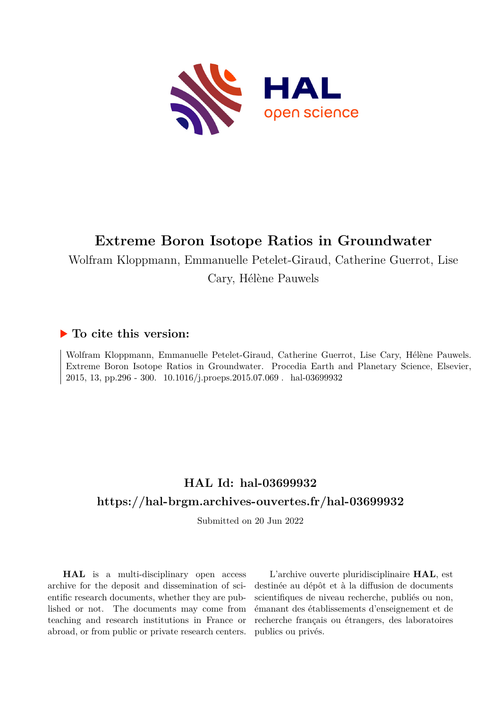

# **Extreme Boron Isotope Ratios in Groundwater**

Wolfram Kloppmann, Emmanuelle Petelet-Giraud, Catherine Guerrot, Lise

Cary, Hélène Pauwels

## **To cite this version:**

Wolfram Kloppmann, Emmanuelle Petelet-Giraud, Catherine Guerrot, Lise Cary, Hélène Pauwels. Extreme Boron Isotope Ratios in Groundwater. Procedia Earth and Planetary Science, Elsevier, 2015, 13, pp.296 - 300. 10.1016/j.proeps.2015.07.069 . hal-03699932

# **HAL Id: hal-03699932 <https://hal-brgm.archives-ouvertes.fr/hal-03699932>**

Submitted on 20 Jun 2022

**HAL** is a multi-disciplinary open access archive for the deposit and dissemination of scientific research documents, whether they are published or not. The documents may come from teaching and research institutions in France or abroad, or from public or private research centers.

L'archive ouverte pluridisciplinaire **HAL**, est destinée au dépôt et à la diffusion de documents scientifiques de niveau recherche, publiés ou non, émanant des établissements d'enseignement et de recherche français ou étrangers, des laboratoires publics ou privés.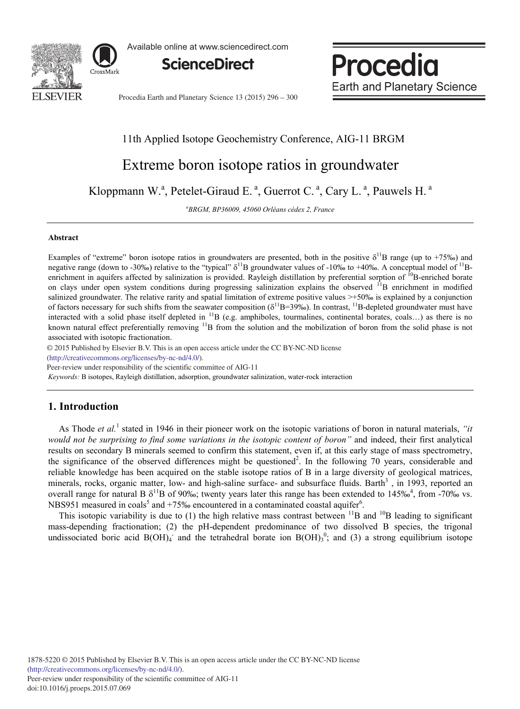

Available online at www.sciencedirect.com



Procedia **Earth and Planetary Science** 

Procedia Earth and Planetary Science 13 (2015) 296 - 300

## 11th Applied Isotope Geochemistry Conference, AIG-11 BRGM

# Extreme boron isotope ratios in groundwater

Kloppmann W.<sup>a</sup>, Petelet-Giraud E.<sup>a</sup>, Guerrot C.<sup>a</sup>, Cary L.<sup>a</sup>, Pauwels H.<sup>a</sup>

*a BRGM, BP36009, 45060 Orléans cédex 2, France*

#### **Abstract**

Examples of "extreme" boron isotope ratios in groundwaters are presented, both in the positive  $\delta^{11}B$  range (up to +75‰) and negative range (down to -30‰) relative to the "typical"  $\delta^{11}B$  groundwater values of -10‰ to +40‰. A conceptual model of  $^{11}B$ enrichment in aquifers affected by salinization is provided. Rayleigh distillation by preferential sorption of  ${}^{10}B$ -enriched borate on clays under open system conditions during progressing salinization explains the observed <sup>11</sup>B enrichment in modified salinized groundwater. The relative rarity and spatial limitation of extreme positive values >+50‰ is explained by a conjunction of factors necessary for such shifts from the seawater composition ( $\delta^{11}B=39\%$ ). In contrast,  $^{11}B$ -depleted groundwater must have interacted with a solid phase itself depleted in <sup>11</sup>B (e.g. amphiboles, tourmalines, continental borates, coals...) as there is no known natural effect preferentially removing  $\rm{^{11}B}$  from the solution and the mobilization of boron from the solid phase is not associated with isotopic fractionation.

© 2015 Published by Elsevier B.V. This is an open access article under the CC BY-NC-ND license

(http://creativecommons.org/licenses/by-nc-nd/4.0/).

Peer-review under responsibility of the scientific committee of AIG-11

*Keywords:* B isotopes, Rayleigh distillation, adsorption, groundwater salinization, water-rock interaction

### **1. Introduction**

As Thode *et al.*<sup>1</sup> stated in 1946 in their pioneer work on the isotopic variations of boron in natural materials, *"it would not be surprising to find some variations in the isotopic content of boron"* and indeed, their first analytical results on secondary B minerals seemed to confirm this statement, even if, at this early stage of mass spectrometry, the significance of the observed differences might be questioned<sup>2</sup>. In the following 70 years, considerable and reliable knowledge has been acquired on the stable isotope ratios of B in a large diversity of geological matrices, minerals, rocks, organic matter, low- and high-saline surface- and subsurface fluids. Barth $3$ , in 1993, reported an overall range for natural B  $\delta^{11}B$  of 90‰; twenty years later this range has been extended to 145‰<sup>4</sup>, from -70‰ vs. NBS951 measured in coals<sup>5</sup> and  $+75%$  encountered in a contaminated coastal aquifer<sup>6</sup>.

This isotopic variability is due to (1) the high relative mass contrast between  $^{11}B$  and  $^{10}B$  leading to significant mass-depending fractionation; (2) the pH-dependent predominance of two dissolved B species, the trigonal undissociated boric acid  $B(OH)_4$  and the tetrahedral borate ion  $B(OH)_3^0$ ; and (3) a strong equilibrium isotope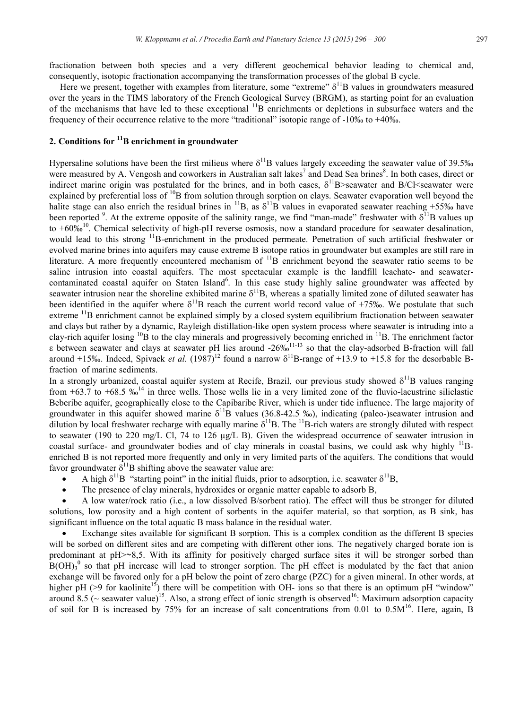fractionation between both species and a very different geochemical behavior leading to chemical and, consequently, isotopic fractionation accompanying the transformation processes of the global B cycle.

Here we present, together with examples from literature, some "extreme"  $\delta^{11}B$  values in groundwaters measured over the years in the TIMS laboratory of the French Geological Survey (BRGM), as starting point for an evaluation of the mechanisms that have led to these exceptional 11B enrichments or depletions in subsurface waters and the frequency of their occurrence relative to the more "traditional" isotopic range of  $-10\%$  to  $+40\%$ .

### **2. Conditions for 11B enrichment in groundwater**

Hypersaline solutions have been the first milieus where  $\delta^{11}B$  values largely exceeding the seawater value of 39.5‰ were measured by A. Vengosh and coworkers in Australian salt lakes<sup>7</sup> and Dead Sea brines<sup>8</sup>. In both cases, direct or indirect marine origin was postulated for the brines, and in both cases,  $\delta^{11}B$ >seawater and B/Cl<seawater were explained by preferential loss of  ${}^{10}B$  from solution through sorption on clays. Seawater evaporation well beyond the halite stage can also enrich the residual brines in  $^{11}B$ , as  $\delta^{11}B$  values in evaporated seawater reaching +55‰ have been reported <sup>9</sup>. At the extreme opposite of the salinity range, we find "man-made" freshwater with  $\delta^{11}B$  values up to  $+60\%$ <sup>10</sup>. Chemical selectivity of high-pH reverse osmosis, now a standard procedure for seawater desalination, would lead to this strong <sup>11</sup>B-enrichment in the produced permeate. Penetration of such artificial freshwater or evolved marine brines into aquifers may cause extreme B isotope ratios in groundwater but examples are still rare in literature. A more frequently encountered mechanism of  $^{11}B$  enrichment beyond the seawater ratio seems to be saline intrusion into coastal aquifers. The most spectacular example is the landfill leachate- and seawatercontaminated coastal aquifer on Staten Island<sup>6</sup>. In this case study highly saline groundwater was affected by seawater intrusion near the shoreline exhibited marine  $\delta^{11}B$ , whereas a spatially limited zone of diluted seawater has been identified in the aquifer where  $\delta^{11}B$  reach the current world record value of +75‰. We postulate that such extreme <sup>11</sup>B enrichment cannot be explained simply by a closed system equilibrium fractionation between seawater and clays but rather by a dynamic, Rayleigh distillation-like open system process where seawater is intruding into a clay-rich aquifer losing  $^{10}B$  to the clay minerals and progressively becoming enriched in  $^{11}B$ . The enrichment factor  $\epsilon$  between seawater and clays at seawater pH lies around -26‰<sup>11-13</sup> so that the clay-adsorbed B-fraction will fall around +15‰. Indeed, Spivack *et al.*  $(1987)^{12}$  found a narrow  $\delta^{11}$ B-range of +13.9 to +15.8 for the desorbable Bfraction of marine sediments.

In a strongly urbanized, coastal aquifer system at Recife, Brazil, our previous study showed  $\delta^{11}B$  values ranging from  $+63.7$  to  $+68.5$  ‰<sup>14</sup> in three wells. Those wells lie in a very limited zone of the fluvio-lacustrine siliclastic Beberibe aquifer, geographically close to the Capibaribe River, which is under tide influence. The large majority of groundwater in this aquifer showed marine  $\delta^{11}B$  values (36.8-42.5 ‰), indicating (paleo-)seawater intrusion and dilution by local freshwater recharge with equally marine  $\delta^{11}B$ . The  $^{11}B$ -rich waters are strongly diluted with respect to seawater (190 to 220 mg/L Cl, 74 to 126 μg/L B). Given the widespread occurrence of seawater intrusion in coastal surface- and groundwater bodies and of clay minerals in coastal basins, we could ask why highly  $^{11}B$ enriched B is not reported more frequently and only in very limited parts of the aquifers. The conditions that would favor groundwater  $\delta^{11}B$  shifting above the seawater value are:

- A high  $\delta^{11}B$  "starting point" in the initial fluids, prior to adsorption, i.e. seawater  $\delta^{11}B$ ,
- The presence of clay minerals, hydroxides or organic matter capable to adsorb B,

x A low water/rock ratio (i.e., a low dissolved B/sorbent ratio). The effect will thus be stronger for diluted solutions, low porosity and a high content of sorbents in the aquifer material, so that sorption, as B sink, has significant influence on the total aquatic B mass balance in the residual water.

x Exchange sites available for significant B sorption. This is a complex condition as the different B species will be sorbed on different sites and are competing with different other ions. The negatively charged borate ion is predominant at  $pH > 8,5$ . With its affinity for positively charged surface sites it will be stronger sorbed than  $B(OH)<sub>3</sub>$ <sup>0</sup> so that pH increase will lead to stronger sorption. The pH effect is modulated by the fact that anion exchange will be favored only for a pH below the point of zero charge (PZC) for a given mineral. In other words, at higher pH ( $>9$  for kaolinite<sup>15</sup>) there will be competition with OH- ions so that there is an optimum pH "window" around 8.5 ( $\sim$  seawater value)<sup>15</sup>. Also, a strong effect of ionic strength is observed<sup>16</sup>: Maximum adsorption capacity of soil for B is increased by 75% for an increase of salt concentrations from 0.01 to 0.5M16. Here, again, B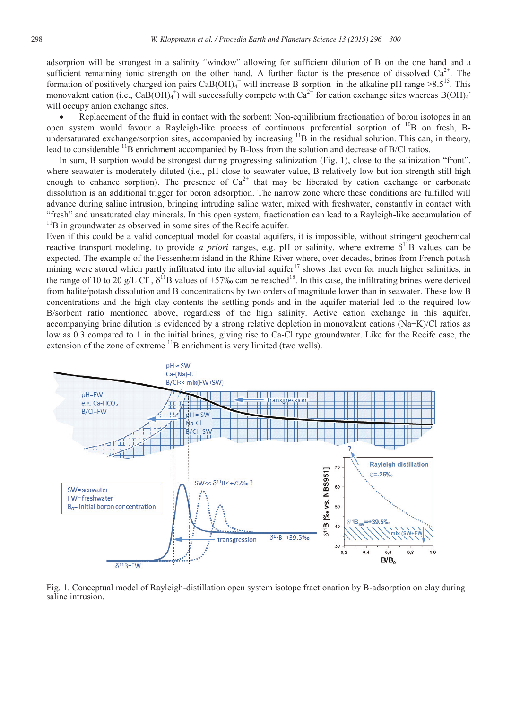adsorption will be strongest in a salinity "window" allowing for sufficient dilution of B on the one hand and a sufficient remaining ionic strength on the other hand. A further factor is the presence of dissolved  $Ca^{2+}$ . The formation of positively charged ion pairs  $CaB(OH)_4^+$  will increase B sorption in the alkaline pH range  $>8.5^{15}$ . This monovalent cation (i.e., CaB(OH)<sub>4</sub><sup>+</sup>) will successfully compete with Ca<sup>2+</sup> for cation exchange sites whereas B(OH)<sub>4</sub><sup>+</sup> will occupy anion exchange sites.

Replacement of the fluid in contact with the sorbent: Non-equilibrium fractionation of boron isotopes in an open system would favour a Rayleigh-like process of continuous preferential sorption of <sup>10</sup>B on fresh, Bundersaturated exchange/sorption sites, accompanied by increasing  ${}^{11}B$  in the residual solution. This can, in theory, lead to considerable <sup>11</sup>B enrichment accompanied by B-loss from the solution and decrease of B/Cl ratios.

In sum, B sorption would be strongest during progressing salinization (Fig. 1), close to the salinization "front", where seawater is moderately diluted (i.e., pH close to seawater value, B relatively low but ion strength still high enough to enhance sorption). The presence of  $Ca^{2+}$  that may be liberated by cation exchange or carbonate dissolution is an additional trigger for boron adsorption. The narrow zone where these conditions are fulfilled will advance during saline intrusion, bringing intruding saline water, mixed with freshwater, constantly in contact with "fresh" and unsaturated clay minerals. In this open system, fractionation can lead to a Rayleigh-like accumulation of <sup>11</sup>B in groundwater as observed in some sites of the Recife aquifer.

Even if this could be a valid conceptual model for coastal aquifers, it is impossible, without stringent geochemical reactive transport modeling, to provide *a priori* ranges, e.g. pH or salinity, where extreme  $\delta^{11}B$  values can be expected. The example of the Fessenheim island in the Rhine River where, over decades, brines from French potash mining were stored which partly infiltrated into the alluvial aquifer<sup>17</sup> shows that even for much higher salinities, in the range of 10 to 20 g/L Cl<sup>-</sup>,  $\delta^{11}B$  values of +57‰ can be reached<sup>18</sup>. In this case, the infiltrating brines were derived from halite/potash dissolution and B concentrations by two orders of magnitude lower than in seawater. These low B concentrations and the high clay contents the settling ponds and in the aquifer material led to the required low B/sorbent ratio mentioned above, regardless of the high salinity. Active cation exchange in this aquifer, accompanying brine dilution is evidenced by a strong relative depletion in monovalent cations  $(Na+K)/C$ l ratios as low as 0.3 compared to 1 in the initial brines, giving rise to Ca-Cl type groundwater. Like for the Recife case, the extension of the zone of extreme  $\frac{11}{B}$  enrichment is very limited (two wells).



Fig. 1. Conceptual model of Rayleigh-distillation open system isotope fractionation by B-adsorption on clay during saline intrusion.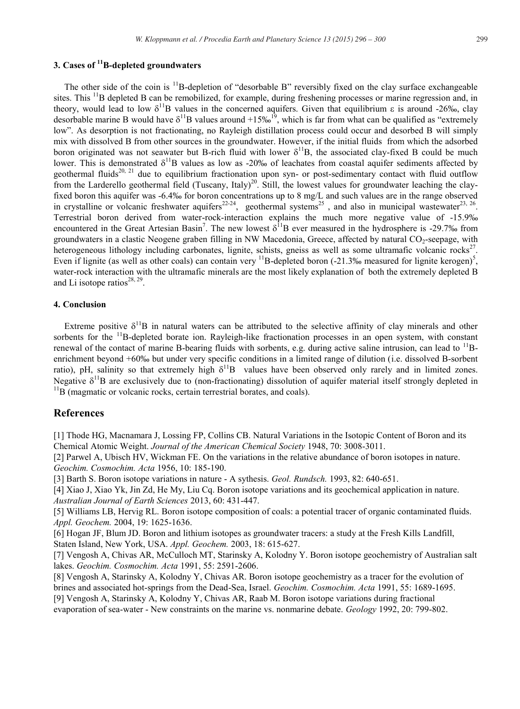#### **3. Cases of 11B-depleted groundwaters**

The other side of the coin is <sup>11</sup>B-depletion of "desorbable B" reversibly fixed on the clay surface exchangeable sites. This  $^{11}$ B depleted B can be remobilized, for example, during freshening processes or marine regression and, in theory, would lead to low  $\delta^{11}B$  values in the concerned aquifers. Given that equilibrium  $\epsilon$  is around -26‰, clay desorbable marine B would have  $\delta^{11}B$  values around +15‰<sup>19</sup>, which is far from what can be qualified as "extremely low". As desorption is not fractionating, no Rayleigh distillation process could occur and desorbed B will simply mix with dissolved B from other sources in the groundwater. However, if the initial fluids from which the adsorbed boron originated was not seawater but B-rich fluid with lower  $\delta^{11}B$ , the associated clay-fixed B could be much lower. This is demonstrated  $\delta^{11}B$  values as low as -20‰ of leachates from coastal aquifer sediments affected by geothermal fluids<sup>20, 21</sup> due to equilibrium fractionation upon syn- or post-sedimentary contact with fluid outflow from the Larderello geothermal field (Tuscany, Italy)<sup>20</sup>. Still, the lowest values for groundwater leaching the clayfixed boron this aquifer was -6.4‰ for boron concentrations up to 8 mg/L and such values are in the range observed in crystalline or volcanic freshwater aquifers<sup>22-24</sup>, geothermal systems<sup>25</sup>, and also in municipal wastewater<sup>23, 26</sup>. Terrestrial boron derived from water-rock-interaction explains the much more negative value of -15.9‰ encountered in the Great Artesian Basin<sup>7</sup>. The new lowest  $\delta^{11}B$  ever measured in the hydrosphere is -29.7‰ from groundwaters in a clastic Neogene graben filling in NW Macedonia, Greece, affected by natural CO<sub>2</sub>-seepage, with heterogeneous lithology including carbonates, lignite, schists, gneiss as well as some ultramafic volcanic rocks $2^7$ . Even if lignite (as well as other coals) can contain very  $^{11}B$ -depleted boron (-21.3‰ measured for lignite kerogen)<sup>5</sup>, water-rock interaction with the ultramafic minerals are the most likely explanation of both the extremely depleted B and Li isotope ratios<sup>28, 29</sup>.

#### **4. Conclusion**

Extreme positive  $\delta^{11}B$  in natural waters can be attributed to the selective affinity of clay minerals and other sorbents for the  $11B$ -depleted borate ion. Rayleigh-like fractionation processes in an open system, with constant renewal of the contact of marine B-bearing fluids with sorbents, e.g. during active saline intrusion, can lead to  $^{11}$ Benrichment beyond +60‰ but under very specific conditions in a limited range of dilution (i.e. dissolved B-sorbent ratio), pH, salinity so that extremely high  $\delta^{11}B$  values have been observed only rarely and in limited zones. Negative  $\delta^{11}B$  are exclusively due to (non-fractionating) dissolution of aquifer material itself strongly depleted in  $^{11}B$  (magmatic or volcanic rocks, certain terrestrial borates, and coals).

#### **References**

[1] Thode HG, Macnamara J, Lossing FP, Collins CB. Natural Variations in the Isotopic Content of Boron and its Chemical Atomic Weight. *Journal of the American Chemical Society* 1948, 70: 3008-3011.

[2] Parwel A, Ubisch HV, Wickman FE. On the variations in the relative abundance of boron isotopes in nature. *Geochim. Cosmochim. Acta* 1956, 10: 185-190.

[3] Barth S. Boron isotope variations in nature - A sythesis. *Geol. Rundsch.* 1993, 82: 640-651.

[4] Xiao J, Xiao Yk, Jin Zd, He My, Liu Cq. Boron isotope variations and its geochemical application in nature. *Australian Journal of Earth Sciences* 2013, 60: 431-447.

[5] Williams LB, Hervig RL. Boron isotope composition of coals: a potential tracer of organic contaminated fluids. *Appl. Geochem.* 2004, 19: 1625-1636.

[6] Hogan JF, Blum JD. Boron and lithium isotopes as groundwater tracers: a study at the Fresh Kills Landfill, Staten Island, New York, USA. *Appl. Geochem.* 2003, 18: 615-627.

[7] Vengosh A, Chivas AR, McCulloch MT, Starinsky A, Kolodny Y. Boron isotope geochemistry of Australian salt lakes. *Geochim. Cosmochim. Acta* 1991, 55: 2591-2606.

[8] Vengosh A, Starinsky A, Kolodny Y, Chivas AR. Boron isotope geochemistry as a tracer for the evolution of brines and associated hot-springs from the Dead-Sea, Israel. *Geochim. Cosmochim. Acta* 1991, 55: 1689-1695.

[9] Vengosh A, Starinsky A, Kolodny Y, Chivas AR, Raab M. Boron isotope variations during fractional

evaporation of sea-water - New constraints on the marine vs. nonmarine debate. *Geology* 1992, 20: 799-802.